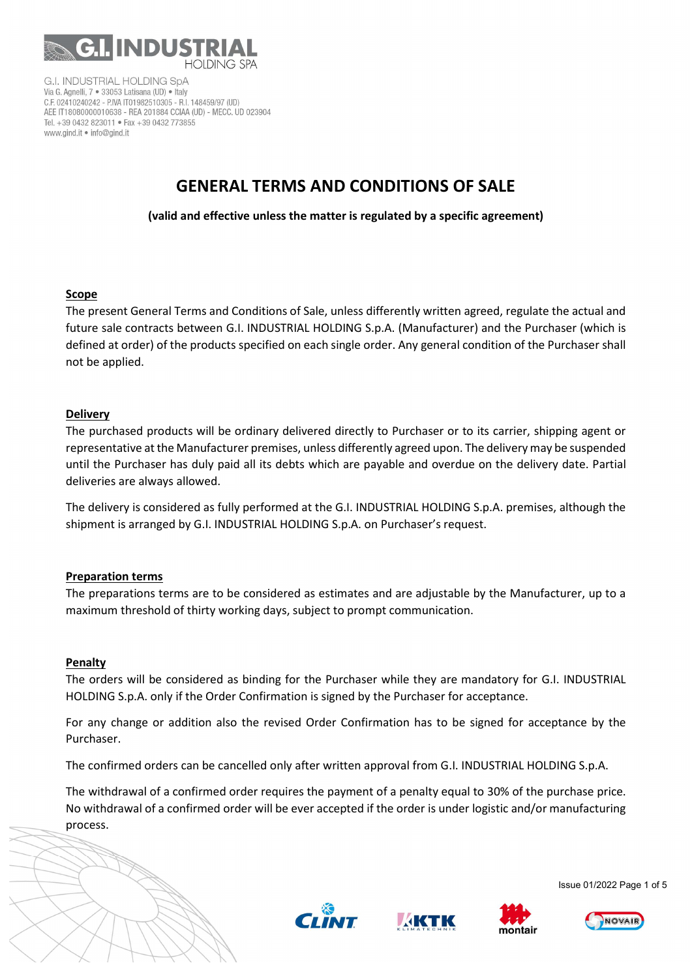

**G.I. INDUSTRIAL HOLDING SpA** Via G. Agnelli, 7 · 33053 Latisana (UD) · Italy C.F. 02410240242 - P.IVA IT01982510305 - R.I. 148459/97 (UD) AEE IT18080000010638 - REA 201884 CCIAA (UD) - MECC. UD 023904 Tel. +39 0432 823011 · Fax +39 0432 773855 www.gind.it . info@gind.it

# GENERAL TERMS AND CONDITIONS OF SALE

(valid and effective unless the matter is regulated by a specific agreement)

## Scope

The present General Terms and Conditions of Sale, unless differently written agreed, regulate the actual and future sale contracts between G.I. INDUSTRIAL HOLDING S.p.A. (Manufacturer) and the Purchaser (which is defined at order) of the products specified on each single order. Any general condition of the Purchaser shall not be applied.

## **Delivery**

The purchased products will be ordinary delivered directly to Purchaser or to its carrier, shipping agent or representative at the Manufacturer premises, unless differently agreed upon. The delivery may be suspended until the Purchaser has duly paid all its debts which are payable and overdue on the delivery date. Partial deliveries are always allowed.

The delivery is considered as fully performed at the G.I. INDUSTRIAL HOLDING S.p.A. premises, although the shipment is arranged by G.I. INDUSTRIAL HOLDING S.p.A. on Purchaser's request.

## Preparation terms

The preparations terms are to be considered as estimates and are adjustable by the Manufacturer, up to a maximum threshold of thirty working days, subject to prompt communication.

## **Penalty**

 $\overline{\phantom{0}}$ 

The orders will be considered as binding for the Purchaser while they are mandatory for G.I. INDUSTRIAL HOLDING S.p.A. only if the Order Confirmation is signed by the Purchaser for acceptance.

For any change or addition also the revised Order Confirmation has to be signed for acceptance by the Purchaser.

The confirmed orders can be cancelled only after written approval from G.I. INDUSTRIAL HOLDING S.p.A.

The withdrawal of a confirmed order requires the payment of a penalty equal to 30% of the purchase price. No withdrawal of a confirmed order will be ever accepted if the order is under logistic and/or manufacturing process.









Issue 01/2022 Page 1 of 5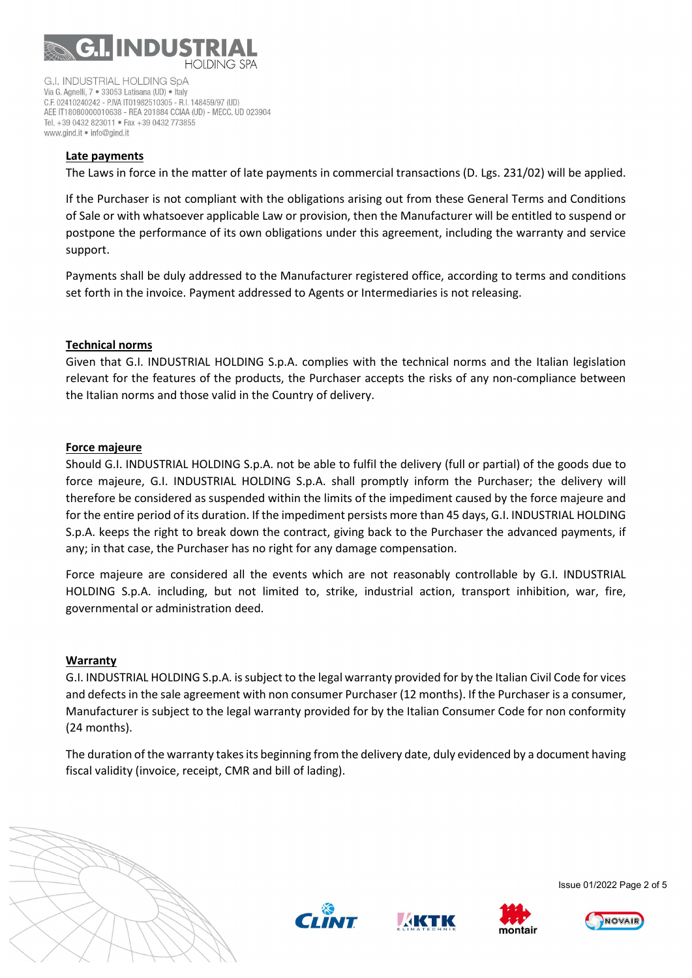

**G.I. INDUSTRIAL HOLDING SpA** Via G. Agnelli, 7 · 33053 Latisana (UD) · Italy C.F. 02410240242 - P.IVA IT01982510305 - R.I. 148459/97 (UD) AEE IT18080000010638 - REA 201884 CCIAA (UD) - MECC. UD 023904 Tel. +39 0432 823011 · Fax +39 0432 773855 www.aind.it . info@aind.it

## Late payments

The Laws in force in the matter of late payments in commercial transactions (D. Lgs. 231/02) will be applied.

If the Purchaser is not compliant with the obligations arising out from these General Terms and Conditions of Sale or with whatsoever applicable Law or provision, then the Manufacturer will be entitled to suspend or postpone the performance of its own obligations under this agreement, including the warranty and service support.

Payments shall be duly addressed to the Manufacturer registered office, according to terms and conditions set forth in the invoice. Payment addressed to Agents or Intermediaries is not releasing.

## Technical norms

Given that G.I. INDUSTRIAL HOLDING S.p.A. complies with the technical norms and the Italian legislation relevant for the features of the products, the Purchaser accepts the risks of any non-compliance between the Italian norms and those valid in the Country of delivery.

## Force majeure

Should G.I. INDUSTRIAL HOLDING S.p.A. not be able to fulfil the delivery (full or partial) of the goods due to force majeure, G.I. INDUSTRIAL HOLDING S.p.A. shall promptly inform the Purchaser; the delivery will therefore be considered as suspended within the limits of the impediment caused by the force majeure and for the entire period of its duration. If the impediment persists more than 45 days, G.I. INDUSTRIAL HOLDING S.p.A. keeps the right to break down the contract, giving back to the Purchaser the advanced payments, if any; in that case, the Purchaser has no right for any damage compensation.

Force majeure are considered all the events which are not reasonably controllable by G.I. INDUSTRIAL HOLDING S.p.A. including, but not limited to, strike, industrial action, transport inhibition, war, fire, governmental or administration deed.

## Warranty

G.I. INDUSTRIAL HOLDING S.p.A. is subject to the legal warranty provided for by the Italian Civil Code for vices and defects in the sale agreement with non consumer Purchaser (12 months). If the Purchaser is a consumer, Manufacturer is subject to the legal warranty provided for by the Italian Consumer Code for non conformity (24 months).

The duration of the warranty takes its beginning from the delivery date, duly evidenced by a document having fiscal validity (invoice, receipt, CMR and bill of lading).









Issue 01/2022 Page 2 of 5

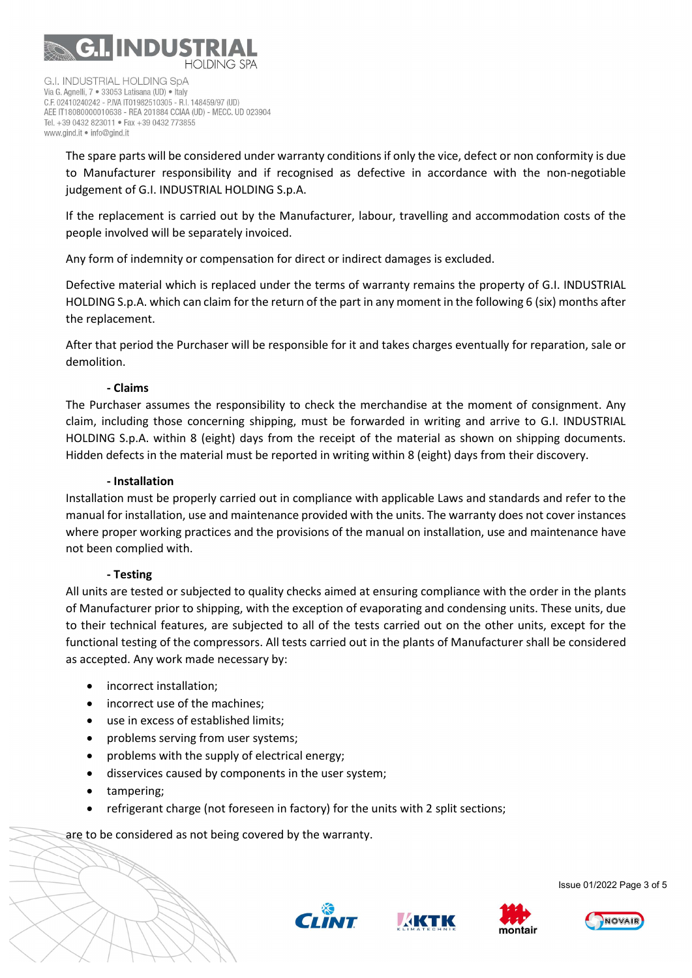

**G.I. INDUSTRIAL HOLDING SpA** Via G. Agnelli, 7 · 33053 Latisana (UD) · Italy C.F. 02410240242 - P.IVA IT01982510305 - R.I. 148459/97 (UD) AEE IT18080000010638 - REA 201884 CCIAA (UD) - MECC. UD 023904 Tel. +39 0432 823011 · Fax +39 0432 773855 www.aind.it . info@aind.it

The spare parts will be considered under warranty conditions if only the vice, defect or non conformity is due to Manufacturer responsibility and if recognised as defective in accordance with the non-negotiable judgement of G.I. INDUSTRIAL HOLDING S.p.A.

If the replacement is carried out by the Manufacturer, labour, travelling and accommodation costs of the people involved will be separately invoiced.

Any form of indemnity or compensation for direct or indirect damages is excluded.

Defective material which is replaced under the terms of warranty remains the property of G.I. INDUSTRIAL HOLDING S.p.A. which can claim for the return of the part in any moment in the following 6 (six) months after the replacement.

After that period the Purchaser will be responsible for it and takes charges eventually for reparation, sale or demolition.

## - Claims

The Purchaser assumes the responsibility to check the merchandise at the moment of consignment. Any claim, including those concerning shipping, must be forwarded in writing and arrive to G.I. INDUSTRIAL HOLDING S.p.A. within 8 (eight) days from the receipt of the material as shown on shipping documents. Hidden defects in the material must be reported in writing within 8 (eight) days from their discovery.

## - Installation

Installation must be properly carried out in compliance with applicable Laws and standards and refer to the manual for installation, use and maintenance provided with the units. The warranty does not cover instances where proper working practices and the provisions of the manual on installation, use and maintenance have not been complied with.

## - Testing

All units are tested or subjected to quality checks aimed at ensuring compliance with the order in the plants of Manufacturer prior to shipping, with the exception of evaporating and condensing units. These units, due to their technical features, are subjected to all of the tests carried out on the other units, except for the functional testing of the compressors. All tests carried out in the plants of Manufacturer shall be considered as accepted. Any work made necessary by:

- incorrect installation;
- incorrect use of the machines;
- use in excess of established limits;
- problems serving from user systems;
- problems with the supply of electrical energy;
- disservices caused by components in the user system;
- tampering;

Ì

refrigerant charge (not foreseen in factory) for the units with 2 split sections;

are to be considered as not being covered by the warranty.







Issue 01/2022 Page 3 of 5

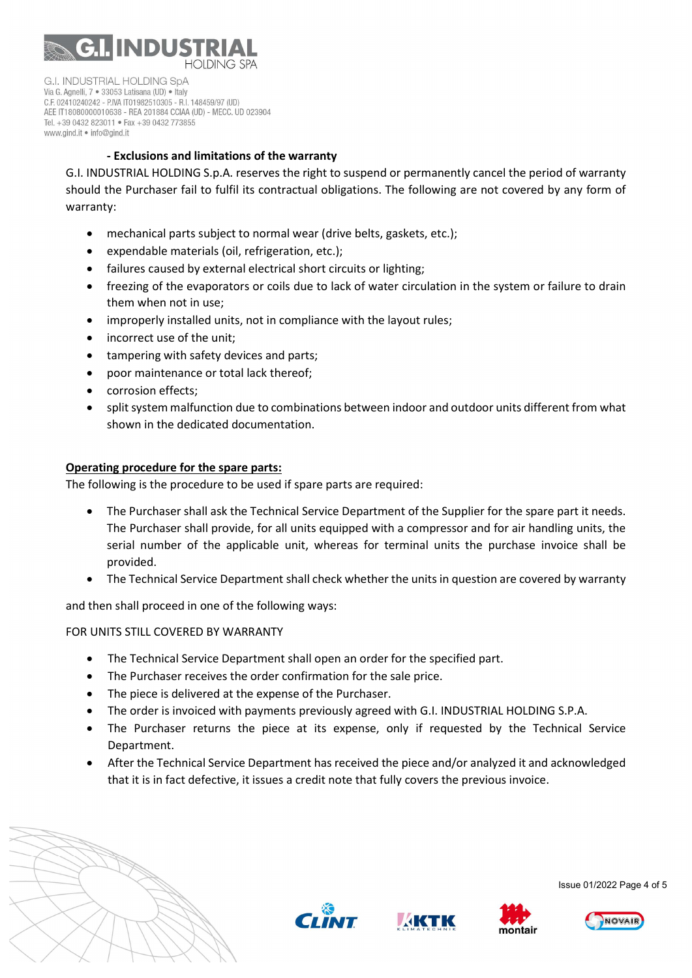

**G.I. INDUSTRIAL HOLDING SpA** Via G. Agnelli, 7 · 33053 Latisana (UD) · Italy C.F. 02410240242 - P.IVA IT01982510305 - R.I. 148459/97 (UD) AEE IT18080000010638 - REA 201884 CCIAA (UD) - MECC. UD 023904 Tel. +39 0432 823011 · Fax +39 0432 773855 www.aind.it . info@aind.it

# - Exclusions and limitations of the warranty

G.I. INDUSTRIAL HOLDING S.p.A. reserves the right to suspend or permanently cancel the period of warranty should the Purchaser fail to fulfil its contractual obligations. The following are not covered by any form of warranty:

- mechanical parts subject to normal wear (drive belts, gaskets, etc.);
- expendable materials (oil, refrigeration, etc.);
- failures caused by external electrical short circuits or lighting;
- freezing of the evaporators or coils due to lack of water circulation in the system or failure to drain them when not in use;
- improperly installed units, not in compliance with the layout rules;
- incorrect use of the unit;
- tampering with safety devices and parts;
- poor maintenance or total lack thereof;
- corrosion effects:
- split system malfunction due to combinations between indoor and outdoor units different from what shown in the dedicated documentation.

#### Operating procedure for the spare parts:

The following is the procedure to be used if spare parts are required:

- The Purchaser shall ask the Technical Service Department of the Supplier for the spare part it needs. The Purchaser shall provide, for all units equipped with a compressor and for air handling units, the serial number of the applicable unit, whereas for terminal units the purchase invoice shall be provided.
- The Technical Service Department shall check whether the units in question are covered by warranty

and then shall proceed in one of the following ways:

## FOR UNITS STILL COVERED BY WARRANTY

- The Technical Service Department shall open an order for the specified part.
- The Purchaser receives the order confirmation for the sale price.
- The piece is delivered at the expense of the Purchaser.
- The order is invoiced with payments previously agreed with G.I. INDUSTRIAL HOLDING S.P.A.
- The Purchaser returns the piece at its expense, only if requested by the Technical Service Department.
- After the Technical Service Department has received the piece and/or analyzed it and acknowledged that it is in fact defective, it issues a credit note that fully covers the previous invoice.